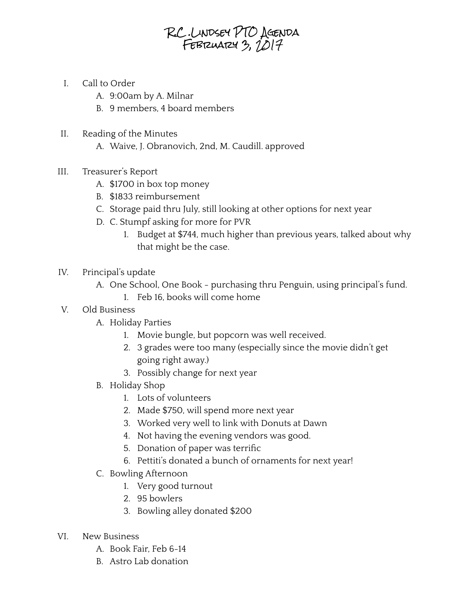## R.C .Lindsey PTO Agenda FEBRUARY 3,  $1017$

- I. Call to Order
	- A. 9:00am by A. Milnar
	- B. 9 members, 4 board members
- II. Reading of the Minutes
	- A. Waive, J. Obranovich, 2nd, M. Caudill. approved
- III. Treasurer's Report
	- A. \$1700 in box top money
	- B. \$1833 reimbursement
	- C. Storage paid thru July, still looking at other options for next year
	- D. C. Stumpf asking for more for PVR
		- 1. Budget at \$744, much higher than previous years, talked about why that might be the case.
- IV. Principal's update
	- A. One School, One Book purchasing thru Penguin, using principal's fund.
		- 1. Feb 16, books will come home
- V. Old Business
	- A. Holiday Parties
		- 1. Movie bungle, but popcorn was well received.
		- 2. 3 grades were too many (especially since the movie didn't get going right away.)
		- 3. Possibly change for next year
	- B. Holiday Shop
		- 1. Lots of volunteers
		- 2. Made \$750, will spend more next year
		- 3. Worked very well to link with Donuts at Dawn
		- 4. Not having the evening vendors was good.
		- 5. Donation of paper was terrific
		- 6. Pettiti's donated a bunch of ornaments for next year!
	- C. Bowling Afternoon
		- 1. Very good turnout
		- 2. 95 bowlers
		- 3. Bowling alley donated \$200
- VI. New Business
	- A. Book Fair, Feb 6-14
	- B. Astro Lab donation